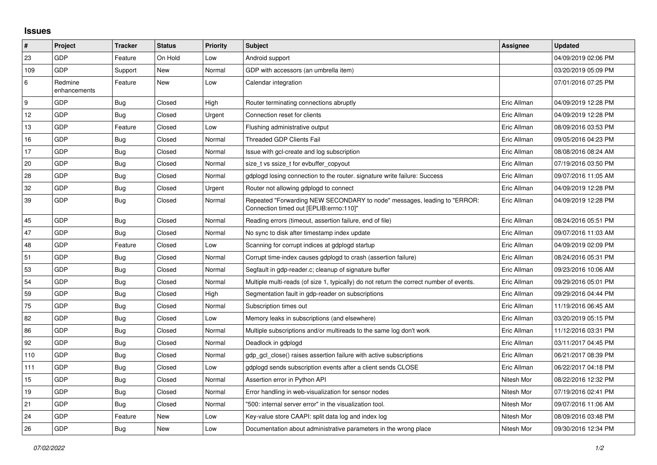## **Issues**

| #   | Project                 | <b>Tracker</b> | <b>Status</b> | <b>Priority</b> | <b>Subject</b>                                                                                                      | Assignee    | <b>Updated</b>      |
|-----|-------------------------|----------------|---------------|-----------------|---------------------------------------------------------------------------------------------------------------------|-------------|---------------------|
| 23  | <b>GDP</b>              | Feature        | On Hold       | Low             | Android support                                                                                                     |             | 04/09/2019 02:06 PM |
| 109 | <b>GDP</b>              | Support        | <b>New</b>    | Normal          | GDP with accessors (an umbrella item)                                                                               |             | 03/20/2019 05:09 PM |
| 6   | Redmine<br>enhancements | Feature        | New           | Low             | Calendar integration                                                                                                |             | 07/01/2016 07:25 PM |
| 9   | <b>GDP</b>              | <b>Bug</b>     | Closed        | High            | Router terminating connections abruptly                                                                             | Eric Allman | 04/09/2019 12:28 PM |
| 12  | <b>GDP</b>              | Bug            | Closed        | Urgent          | Connection reset for clients                                                                                        | Eric Allman | 04/09/2019 12:28 PM |
| 13  | <b>GDP</b>              | Feature        | Closed        | Low             | Flushing administrative output                                                                                      | Eric Allman | 08/09/2016 03:53 PM |
| 16  | <b>GDP</b>              | Bug            | Closed        | Normal          | <b>Threaded GDP Clients Fail</b>                                                                                    | Eric Allman | 09/05/2016 04:23 PM |
| 17  | <b>GDP</b>              | <b>Bug</b>     | Closed        | Normal          | Issue with gcl-create and log subscription                                                                          | Eric Allman | 08/08/2016 08:24 AM |
| 20  | <b>GDP</b>              | Bug            | Closed        | Normal          | size_t vs ssize_t for evbuffer_copyout                                                                              | Eric Allman | 07/19/2016 03:50 PM |
| 28  | GDP                     | <b>Bug</b>     | Closed        | Normal          | gdplogd losing connection to the router. signature write failure: Success                                           | Eric Allman | 09/07/2016 11:05 AM |
| 32  | <b>GDP</b>              | Bug            | Closed        | Urgent          | Router not allowing gdplogd to connect                                                                              | Eric Allman | 04/09/2019 12:28 PM |
| 39  | <b>GDP</b>              | <b>Bug</b>     | Closed        | Normal          | Repeated "Forwarding NEW SECONDARY to node" messages, leading to "ERROR:<br>Connection timed out [EPLIB:errno:110]" | Eric Allman | 04/09/2019 12:28 PM |
| 45  | <b>GDP</b>              | <b>Bug</b>     | Closed        | Normal          | Reading errors (timeout, assertion failure, end of file)                                                            | Eric Allman | 08/24/2016 05:51 PM |
| 47  | <b>GDP</b>              | Bug            | Closed        | Normal          | No sync to disk after timestamp index update                                                                        | Eric Allman | 09/07/2016 11:03 AM |
| 48  | GDP                     | Feature        | Closed        | Low             | Scanning for corrupt indices at gdplogd startup                                                                     | Eric Allman | 04/09/2019 02:09 PM |
| 51  | <b>GDP</b>              | <b>Bug</b>     | Closed        | Normal          | Corrupt time-index causes gdplogd to crash (assertion failure)                                                      | Eric Allman | 08/24/2016 05:31 PM |
| 53  | <b>GDP</b>              | Bug            | Closed        | Normal          | Segfault in gdp-reader.c; cleanup of signature buffer                                                               | Eric Allman | 09/23/2016 10:06 AM |
| 54  | <b>GDP</b>              | Bug            | Closed        | Normal          | Multiple multi-reads (of size 1, typically) do not return the correct number of events.                             | Eric Allman | 09/29/2016 05:01 PM |
| 59  | GDP                     | <b>Bug</b>     | Closed        | High            | Segmentation fault in gdp-reader on subscriptions                                                                   | Eric Allman | 09/29/2016 04:44 PM |
| 75  | <b>GDP</b>              | Bug            | Closed        | Normal          | Subscription times out                                                                                              | Eric Allman | 11/19/2016 06:45 AM |
| 82  | <b>GDP</b>              | Bug            | Closed        | Low             | Memory leaks in subscriptions (and elsewhere)                                                                       | Eric Allman | 03/20/2019 05:15 PM |
| 86  | <b>GDP</b>              | <b>Bug</b>     | Closed        | Normal          | Multiple subscriptions and/or multireads to the same log don't work                                                 | Eric Allman | 11/12/2016 03:31 PM |
| 92  | <b>GDP</b>              | Bug            | Closed        | Normal          | Deadlock in gdplogd                                                                                                 | Eric Allman | 03/11/2017 04:45 PM |
| 110 | <b>GDP</b>              | <b>Bug</b>     | Closed        | Normal          | gdp_gcl_close() raises assertion failure with active subscriptions                                                  | Eric Allman | 06/21/2017 08:39 PM |
| 111 | <b>GDP</b>              | Bug            | Closed        | Low             | gdplogd sends subscription events after a client sends CLOSE                                                        | Eric Allman | 06/22/2017 04:18 PM |
| 15  | <b>GDP</b>              | Bug            | Closed        | Normal          | Assertion error in Python API                                                                                       | Nitesh Mor  | 08/22/2016 12:32 PM |
| 19  | <b>GDP</b>              | <b>Bug</b>     | Closed        | Normal          | Error handling in web-visualization for sensor nodes                                                                | Nitesh Mor  | 07/19/2016 02:41 PM |
| 21  | <b>GDP</b>              | <b>Bug</b>     | Closed        | Normal          | "500: internal server error" in the visualization tool.                                                             | Nitesh Mor  | 09/07/2016 11:06 AM |
| 24  | <b>GDP</b>              | Feature        | New           | Low             | Key-value store CAAPI: split data log and index log                                                                 | Nitesh Mor  | 08/09/2016 03:48 PM |
| 26  | GDP                     | <b>Bug</b>     | New           | Low             | Documentation about administrative parameters in the wrong place                                                    | Nitesh Mor  | 09/30/2016 12:34 PM |